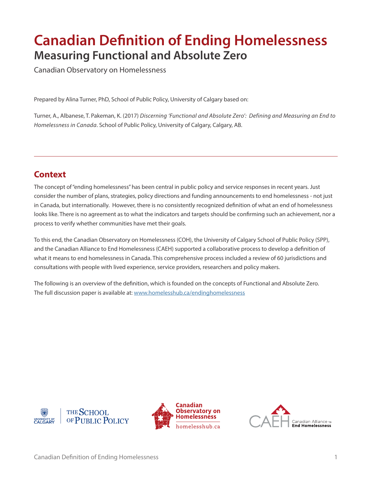# **Canadian Definition of Ending Homelessness Measuring Functional and Absolute Zero**

Canadian Observatory on Homelessness

Prepared by Alina Turner, PhD, School of Public Policy, University of Calgary based on:

Turner, A., Albanese, T. Pakeman, K. (2017) *Discerning 'Functional and Absolute Zero': Defining and Measuring an End to Homelessness in Canada*. School of Public Policy, University of Calgary, Calgary, AB.

### **Context**

The concept of "ending homelessness" has been central in public policy and service responses in recent years. Just consider the number of plans, strategies, policy directions and funding announcements to end homelessness - not just in Canada, but internationally. However, there is no consistently recognized definition of what an end of homelessness looks like. There is no agreement as to what the indicators and targets should be confirming such an achievement, nor a process to verify whether communities have met their goals.

To this end, the Canadian Observatory on Homelessness (COH), the University of Calgary School of Public Policy (SPP), and the Canadian Alliance to End Homelessness (CAEH) supported a collaborative process to develop a definition of what it means to end homelessness in Canada. This comprehensive process included a review of 60 jurisdictions and consultations with people with lived experience, service providers, researchers and policy makers.

The following is an overview of the definition, which is founded on the concepts of Functional and Absolute Zero. The full discussion paper is available at: <www.homelesshub.ca/endinghomelessness>





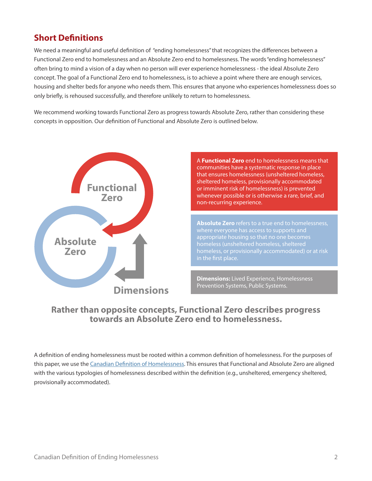### **Short Definitions**

We need a meaningful and useful definition of "ending homelessness" that recognizes the differences between a Functional Zero end to homelessness and an Absolute Zero end to homelessness. The words "ending homelessness" often bring to mind a vision of a day when no person will ever experience homelessness - the ideal Absolute Zero concept. The goal of a Functional Zero end to homelessness, is to achieve a point where there are enough services, housing and shelter beds for anyone who needs them. This ensures that anyone who experiences homelessness does so only briefly, is rehoused successfully, and therefore unlikely to return to homelessness.

We recommend working towards Functional Zero as progress towards Absolute Zero, rather than considering these concepts in opposition. Our definition of Functional and Absolute Zero is outlined below.



A **Functional Zero** end to homelessness means that communities have a systematic response in place that ensures homelessness (unsheltered homeless, sheltered homeless, provisionally accommodated or imminent risk of homelessness) is prevented whenever possible or is otherwise a rare, brief, and non-recurring experience.

**Absolute Zero** refers to a true end to homelessness, where everyone has access to supports and appropriate housing so that no one becomes homeless (unsheltered homeless, sheltered homeless, or provisionally accommodated) or at risk in the first place.

**Dimensions:** Lived Experience, Homelessness Prevention Systems, Public Systems.

#### **Rather than opposite concepts, Functional Zero describes progress towards an Absolute Zero end to homelessness.**

A definition of ending homelessness must be rooted within a common definition of homelessness. For the purposes of this paper, we use the [Canadian Definition of Homelessness.](www.homelesshub.ca/homelessdefinition) This ensures that Functional and Absolute Zero are aligned with the various typologies of homelessness described within the definition (e.g., unsheltered, emergency sheltered, provisionally accommodated).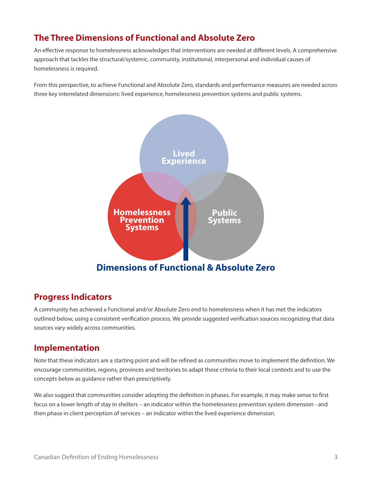### **The Three Dimensions of Functional and Absolute Zero**

An effective response to homelessness acknowledges that interventions are needed at different levels. A comprehensive approach that tackles the structural/systemic, community, institutional, interpersonal and individual causes of homelessness is required.

From this perspective, to achieve Functional and Absolute Zero, standards and performance measures are needed across three key interrelated dimensions: lived experience, homelessness prevention systems and public systems.



#### **Progress Indicators**

A community has achieved a Functional and/or Absolute Zero end to homelessness when it has met the indicators outlined below, using a consistent verification process. We provide suggested verification sources recognizing that data sources vary widely across communities.

#### **Implementation**

Note that these indicators are a starting point and will be refined as communities move to implement the definition. We encourage communities, regions, provinces and territories to adapt these criteria to their local contexts and to use the concepts below as guidance rather than prescriptively.

We also suggest that communities consider adopting the definition in phases. For example, it may make sense to first focus on a lower length of stay in shelters – an indicator within the homelessness prevention system dimension - and then phase in client perception of services – an indicator within the lived experience dimension.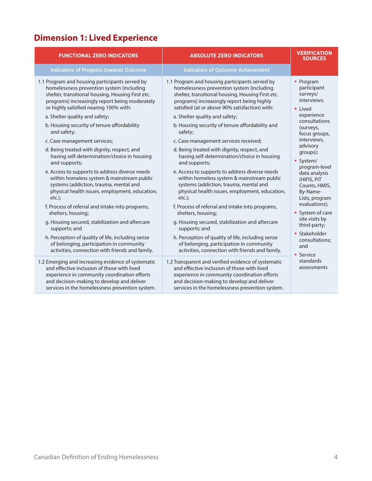# **Dimension 1: Lived Experience**

| <b>FUNCTIONAL ZERO INDICATORS</b>                                                                                                                                                                                                                                                                                                                                                                                                                                                                                                                                                                                                                                                                                                                                                                                                                                                                                                                                                                      | <b>ABSOLUTE ZERO INDICATORS</b>                                                                                                                                                                                                                                                                                                                                                                                                                                                                                                                                                                                                                                                                                                                                                                                                                                                                                                                                                                                     | <b>VERIFICATION</b><br><b>SOURCES</b>                                                                                                                                                                                                                                                                                                                                                                         |
|--------------------------------------------------------------------------------------------------------------------------------------------------------------------------------------------------------------------------------------------------------------------------------------------------------------------------------------------------------------------------------------------------------------------------------------------------------------------------------------------------------------------------------------------------------------------------------------------------------------------------------------------------------------------------------------------------------------------------------------------------------------------------------------------------------------------------------------------------------------------------------------------------------------------------------------------------------------------------------------------------------|---------------------------------------------------------------------------------------------------------------------------------------------------------------------------------------------------------------------------------------------------------------------------------------------------------------------------------------------------------------------------------------------------------------------------------------------------------------------------------------------------------------------------------------------------------------------------------------------------------------------------------------------------------------------------------------------------------------------------------------------------------------------------------------------------------------------------------------------------------------------------------------------------------------------------------------------------------------------------------------------------------------------|---------------------------------------------------------------------------------------------------------------------------------------------------------------------------------------------------------------------------------------------------------------------------------------------------------------------------------------------------------------------------------------------------------------|
| <b>Indicators of Progress towards Outcome</b>                                                                                                                                                                                                                                                                                                                                                                                                                                                                                                                                                                                                                                                                                                                                                                                                                                                                                                                                                          | <b>Indicators of Outcome Achievement</b>                                                                                                                                                                                                                                                                                                                                                                                                                                                                                                                                                                                                                                                                                                                                                                                                                                                                                                                                                                            |                                                                                                                                                                                                                                                                                                                                                                                                               |
| 1.1 Program and housing participants served by<br>homelessness prevention system (including<br>shelter, transitional housing, Housing First etc.<br>programs) increasingly report being moderately<br>or highly satisfied nearing 100% with:<br>a. Shelter quality and safety;<br>b. Housing security of tenure affordability<br>and safety;<br>c. Case management services;<br>d. Being treated with dignity, respect, and<br>having self-determination/choice in housing<br>and supports;<br>e. Access to supports to address diverse needs<br>within homeless system & mainstream public<br>systems (addiction, trauma, mental and<br>physical health issues, employment, education,<br>$etc.$ ):<br>f. Process of referral and intake into programs,<br>shelters, housing;<br>g. Housing secured, stabilization and aftercare<br>supports; and<br>h. Perception of quality of life, including sense<br>of belonging, participation in community<br>activities, connection with friends and family. | 1.1 Program and housing participants served by<br>homelessness prevention system (including<br>shelter, transitional housing, Housing First etc.<br>programs) increasingly report being highly<br>satisfied (at or above 90% satisfaction) with:<br>a. Shelter quality and safety;<br>b. Housing security of tenure affordability and<br>safety;<br>c. Case management services received;<br>d. Being treated with dignity, respect, and<br>having self-determination/choice in housing<br>and supports;<br>e. Access to supports to address diverse needs<br>within homeless system & mainstream public<br>systems (addiction, trauma, mental and<br>physical health issues, employment, education,<br>$etc.$ ):<br>f. Process of referral and intake into programs,<br>shelters, housing;<br>g. Housing secured, stabilization and aftercare<br>supports; and<br>h. Perception of quality of life, including sense<br>of belonging, participation in community<br>activities, connection with friends and family. | • Program<br>participant<br>surveys/<br>interviews;<br>• Lived<br>experience<br>consultations<br>(surveys,<br>focus groups,<br>interviews,<br>advisory<br>groups);<br>• System/<br>program-level<br>data analysis<br>(HIFIS, PiT<br>Counts, HMIS,<br>By-Name-<br>Lists, program<br>evaluations):<br>• System of care<br>site visits by<br>third-party;<br>• Stakeholder<br>consultations:<br>and<br>• Service |
| 1.2 Emerging and increasing evidence of systematic<br>and effective inclusion of those with lived<br>experience in community coordination efforts<br>and decision-making to develop and deliver<br>services in the homelessness prevention system.                                                                                                                                                                                                                                                                                                                                                                                                                                                                                                                                                                                                                                                                                                                                                     | 1.2 Transparent and verified evidence of systematic<br>and effective inclusion of those with lived<br>experience in community coordination efforts<br>and decision-making to develop and deliver<br>services in the homelessness prevention system.                                                                                                                                                                                                                                                                                                                                                                                                                                                                                                                                                                                                                                                                                                                                                                 | standards<br>assessments                                                                                                                                                                                                                                                                                                                                                                                      |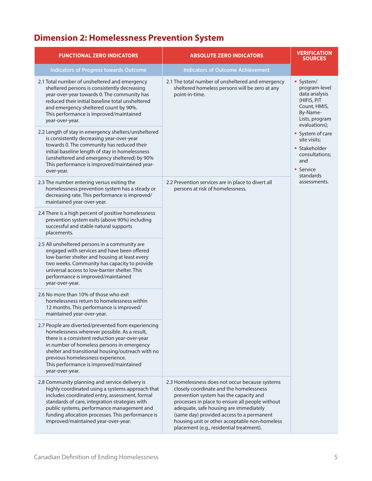# **Dimension 2: Homelessness Prevention System**

| <b>FUNCTIONAL ZERO INDICATORS</b>                                                                                                                                                                                                                                                                                                                           | <b>ABSOLUTE ZERO INDICATORS</b>                                                                                                                                                                                                                                                                                                                                             | <b>VERIFICATION</b><br><b>SOURCES</b>                                                                                                                                                                                                             |
|-------------------------------------------------------------------------------------------------------------------------------------------------------------------------------------------------------------------------------------------------------------------------------------------------------------------------------------------------------------|-----------------------------------------------------------------------------------------------------------------------------------------------------------------------------------------------------------------------------------------------------------------------------------------------------------------------------------------------------------------------------|---------------------------------------------------------------------------------------------------------------------------------------------------------------------------------------------------------------------------------------------------|
| <b>Indicators of Progress towards Outcome</b>                                                                                                                                                                                                                                                                                                               | <b>Indicators of Outcome Achievement</b>                                                                                                                                                                                                                                                                                                                                    |                                                                                                                                                                                                                                                   |
| 2.1 Total number of unsheltered and emergency<br>sheltered persons is consistently decreasing<br>year-over-year towards 0. The community has<br>reduced their initial baseline total unsheltered<br>and emergency sheltered count by 90%.<br>This performance is improved/maintained<br>year-over-year.                                                     | 2.1 The total number of unsheltered and emergency<br>sheltered homeless persons will be zero at any<br>point-in-time.                                                                                                                                                                                                                                                       | • System/<br>program-level<br>data analysis<br>(HIFIS, PIT<br>Count, HMIS,<br>By-Name-<br>Lists, program<br>evaluations);<br>• System of care<br>site visits;<br>• Stakeholder<br>consultations;<br>and<br>• Service<br>standards<br>assessments. |
| 2.2 Length of stay in emergency shelters/unsheltered<br>is consistently decreasing year-over-year<br>towards 0. The community has reduced their<br>initial baseline length of stay in homelessness<br>(unsheltered and emergency sheltered) by 90%<br>This performance is improved/maintained year-<br>over-year.                                           |                                                                                                                                                                                                                                                                                                                                                                             |                                                                                                                                                                                                                                                   |
| 2.3 The number entering versus exiting the<br>homelessness prevention system has a steady or<br>decreasing rate. This performance is improved/<br>maintained year-over-year.                                                                                                                                                                                | 2.2 Prevention services are in place to divert all<br>persons at risk of homelessness.                                                                                                                                                                                                                                                                                      |                                                                                                                                                                                                                                                   |
| 2.4 There is a high percent of positive homelessness<br>prevention system exits (above 90%) including<br>successful and stable natural supports<br>placements.                                                                                                                                                                                              |                                                                                                                                                                                                                                                                                                                                                                             |                                                                                                                                                                                                                                                   |
| 2.5 All unsheltered persons in a community are<br>engaged with services and have been offered<br>low-barrier shelter and housing at least every<br>two weeks. Community has capacity to provide<br>universal access to low-barrier shelter. This<br>performance is improved/maintained<br>year-over-year.                                                   |                                                                                                                                                                                                                                                                                                                                                                             |                                                                                                                                                                                                                                                   |
| 2.6 No more than 10% of those who exit<br>homelessness return to homelessness within<br>12 months. This performance is improved/<br>maintained year-over-year.                                                                                                                                                                                              |                                                                                                                                                                                                                                                                                                                                                                             |                                                                                                                                                                                                                                                   |
| 2.7 People are diverted/prevented from experiencing<br>homelessness wherever possible. As a result,<br>there is a consistent reduction year-over-year<br>in number of homeless persons in emergency<br>shelter and transitional housing/outreach with no<br>previous homelessness experience.<br>This performance is improved/maintained<br>year-over-year. |                                                                                                                                                                                                                                                                                                                                                                             |                                                                                                                                                                                                                                                   |
| 2.8 Community planning and service delivery is<br>highly coordinated using a systems approach that<br>includes coordinated entry, assessment, formal<br>standards of care, integration strategies with<br>public systems, performance management and<br>funding allocation processes. This performance is<br>improved/maintained year-over-year.            | 2.3 Homelessness does not occur because systems<br>closely coordinate and the homelessness<br>prevention system has the capacity and<br>processes in place to ensure all people without<br>adequate, safe housing are immediately<br>(same day) provided access to a permanent<br>housing unit or other acceptable non-homeless<br>placement (e.g., residential treatment). |                                                                                                                                                                                                                                                   |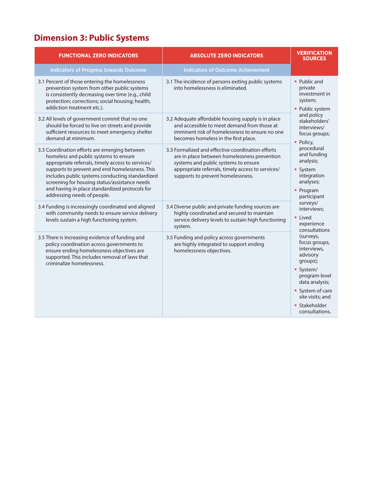# **Dimension 3: Public Systems**

| <b>FUNCTIONAL ZERO INDICATORS</b>                                                                                                                                                                                                                                                                                                                                                  | <b>ABSOLUTE ZERO INDICATORS</b>                                                                                                                                                                                                     | <b>VERIFICATION</b><br><b>SOURCES</b>                                                                                                                                                                                                                                                                                                 |
|------------------------------------------------------------------------------------------------------------------------------------------------------------------------------------------------------------------------------------------------------------------------------------------------------------------------------------------------------------------------------------|-------------------------------------------------------------------------------------------------------------------------------------------------------------------------------------------------------------------------------------|---------------------------------------------------------------------------------------------------------------------------------------------------------------------------------------------------------------------------------------------------------------------------------------------------------------------------------------|
| <b>Indicators of Progress towards Outcome</b>                                                                                                                                                                                                                                                                                                                                      | <b>Indicators of Outcome Achievement</b>                                                                                                                                                                                            |                                                                                                                                                                                                                                                                                                                                       |
| 3.1 Percent of those entering the homelessness<br>prevention system from other public systems<br>is consistently decreasing over time (e.g., child<br>protection; corrections; social housing; health,<br>addiction treatment etc.).                                                                                                                                               | 3.1 The incidence of persons exiting public systems<br>into homelessness is eliminated.                                                                                                                                             | • Public and<br>private<br>investment in<br>system;<br>• Public system<br>and policy<br>stakeholders'<br>interviews/<br>focus groups;<br>• Policy,<br>procedural<br>and funding<br>analysis;<br>• System<br>integration<br>analyses;<br>• Program<br>participant<br>surveys/<br>interviews;<br>• Lived<br>experience<br>consultations |
| 3.2 All levels of government commit that no one<br>should be forced to live on streets and provide<br>sufficient resources to meet emergency shelter<br>demand at minimum.                                                                                                                                                                                                         | 3.2 Adequate affordable housing supply is in place<br>and accessible to meet demand from those at<br>imminent risk of homelessness to ensure no one<br>becomes homeless in the first place.                                         |                                                                                                                                                                                                                                                                                                                                       |
| 3.3 Coordination efforts are emerging between<br>homeless and public systems to ensure<br>appropriate referrals, timely access to services/<br>supports to prevent and end homelessness. This<br>includes public systems conducting standardized<br>screening for housing status/assistance needs<br>and having in place standardized protocols for<br>addressing needs of people. | 3.3 Formalized and effective coordination efforts<br>are in place between homelessness prevention<br>systems and public systems to ensure<br>appropriate referrals, timely access to services/<br>supports to prevent homelessness. |                                                                                                                                                                                                                                                                                                                                       |
| 3.4 Funding is increasingly coordinated and aligned<br>with community needs to ensure service delivery<br>levels sustain a high functioning system.                                                                                                                                                                                                                                | 3.4 Diverse public and private funding sources are<br>highly coordinated and secured to maintain<br>service delivery levels to sustain high functioning<br>system.                                                                  |                                                                                                                                                                                                                                                                                                                                       |
| 3.5 There is increasing evidence of funding and<br>policy coordination across governments to<br>ensure ending homelessness objectives are<br>supported. This includes removal of laws that<br>criminalize homelessness.                                                                                                                                                            | 3.5 Funding and policy across governments<br>are highly integrated to support ending<br>homelessness objectives.                                                                                                                    | (surveys,<br>focus groups,<br>interviews,<br>advisory<br>groups);                                                                                                                                                                                                                                                                     |
|                                                                                                                                                                                                                                                                                                                                                                                    |                                                                                                                                                                                                                                     | · System/<br>program-level<br>data analysis;                                                                                                                                                                                                                                                                                          |
|                                                                                                                                                                                                                                                                                                                                                                                    |                                                                                                                                                                                                                                     | • System of care<br>site visits; and                                                                                                                                                                                                                                                                                                  |
|                                                                                                                                                                                                                                                                                                                                                                                    |                                                                                                                                                                                                                                     | • Stakeholder<br>consultations.                                                                                                                                                                                                                                                                                                       |